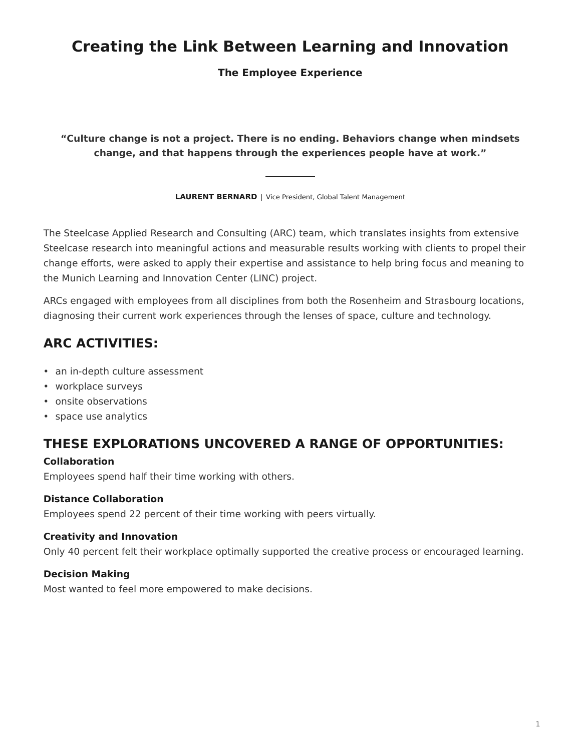# <span id="page-0-0"></span>**Creating the Link Between Learning and Innovation**

**The Employee Experience**

**"Culture change is not a project. There is no ending. Behaviors change when mindsets change, and that happens through the experiences people have at work."**

**LAURENT BERNARD** | Vice President, Global Talent Management

The Steelcase Applied Research and Consulting (ARC) team, which translates insights from extensive Steelcase research into meaningful actions and measurable results working with clients to propel their change efforts, were asked to apply their expertise and assistance to help bring focus and meaning to the Munich Learning and Innovation Center (LINC) project.

ARCs engaged with employees from all disciplines from both the Rosenheim and Strasbourg locations, diagnosing their current work experiences through the lenses of space, culture and technology.

# **ARC ACTIVITIES:**

- an in-depth culture assessment
- workplace surveys
- onsite observations
- space use analytics

## **THESE EXPLORATIONS UNCOVERED A RANGE OF OPPORTUNITIES:**

## **Collaboration**

Employees spend half their time working with others.

## **Distance Collaboration**

Employees spend 22 percent of their time working with peers virtually.

### **Creativity and Innovation**

Only 40 percent felt their workplace optimally supported the creative process or encouraged learning.

## **Decision Making**

Most wanted to feel more empowered to make decisions.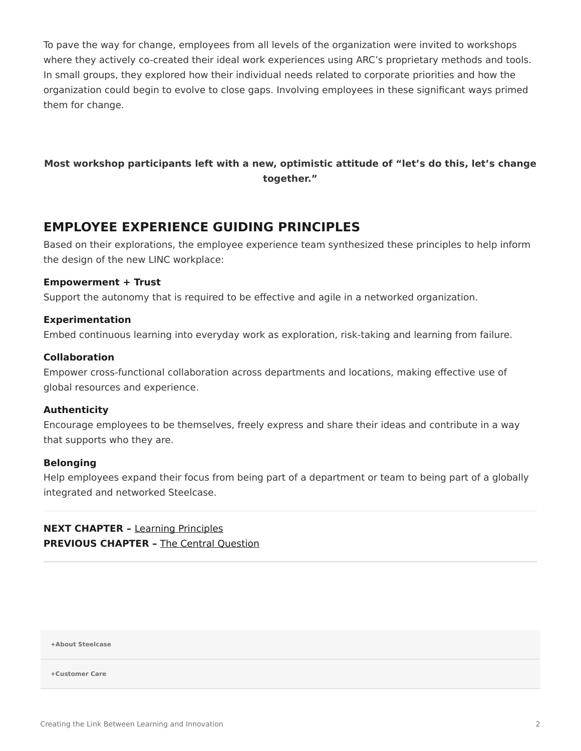To pave the way for change, employees from all levels of the organization were invited to workshops where they actively co-created their ideal work experiences using ARC's proprietary methods and tools. In small groups, they explored how their individual needs related to corporate priorities and how the organization could begin to evolve to close gaps. Involving employees in these significant ways primed them for change.

## **Most workshop participants left with a new, optimistic attitude of "let's do this, let's change together."**

## **EMPLOYEE EXPERIENCE GUIDING PRINCIPLES**

Based on their explorations, the employee experience team synthesized these principles to help inform the design of the new LINC workplace:

### **Empowerment + Trust**

Support the autonomy that is required to be effective and agile in a networked organization.

#### **Experimentation**

Embed continuous learning into everyday work as exploration, risk-taking and learning from failure.

#### **Collaboration**

Empower cross-functional collaboration across departments and locations, making effective use of global resources and experience.

#### **Authenticity**

Encourage employees to be themselves, freely express and share their ideas and contribute in a way that supports who they are.

#### **Belonging**

Help employees expand their focus from being part of a department or team to being part of a globally integrated and networked Steelcase.

**NEXT CHAPTER –** [Learning Principles](https://www.steelcase.com/research/articles/creating-link-learning-innovation-learning-principles/) **PREVIOUS CHAPTER - [The Central Question](https://www.steelcase.com/research/articles/creating-link-learning-innovation-central-question/)** 

**[+About Steelcase](https://www.steelcase.com/discover/steelcase/our-company/)**

**[+Customer Care](#page-0-0)**